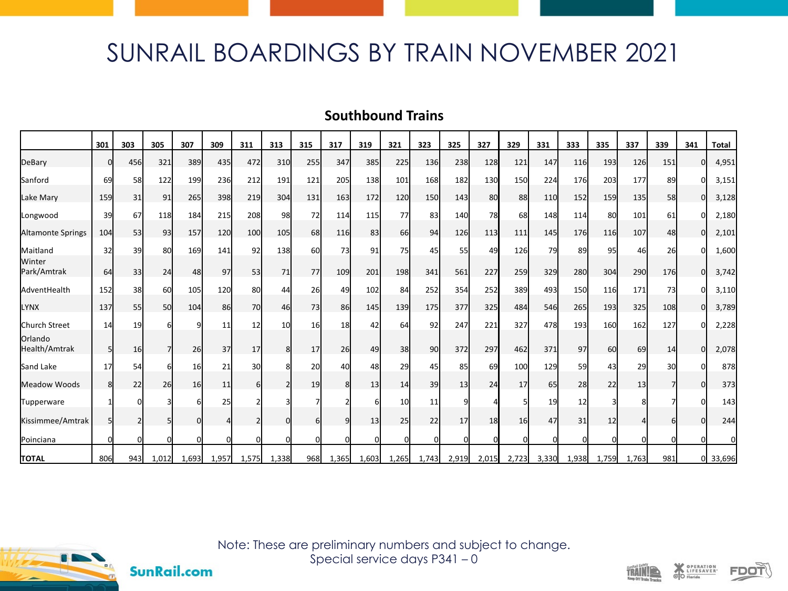## SUNRAIL BOARDINGS BY TRAIN NOVEMBER 2021

## **Southbound Trains**

|                          | 301      | 303 | 305         | 307       | 309   | 311   | 313   | 315 | 317   | 319   | 321      | 323      | 325      | 327   | 329   | 331       | 333      | 335   | 337   | 339 | 341 | <b>Total</b> |
|--------------------------|----------|-----|-------------|-----------|-------|-------|-------|-----|-------|-------|----------|----------|----------|-------|-------|-----------|----------|-------|-------|-----|-----|--------------|
| DeBary                   | ŋ        | 456 | 321         | 389       | 435   | 472   | 310   | 255 | 347   | 385   | 225      | 136      | 238      | 128   | 121   | 147       | 116      | 193   | 126   | 151 | U   | 4,951        |
| Sanford                  | 69       | 58  | 122         | 199       | 236   | 212   | 191   | 121 | 205   | 138   | 101      | 168      | 182      | 130   | 150   | 224       | 176      | 203   | 177   | 89  |     | 3,151        |
| Lake Mary                | 159      | 31  | 91          | 265       | 398   | 219   | 304   | 131 | 163   | 172   | 120      | 150      | 143      | 80    | 88    | 110       | 152      | 159   | 135   | 58  | U   | 3,128        |
| Longwood                 | 39       | 67  | 118         | 184       | 215   | 208   | 98    | 72  | 114   | 115   | 77       | 83       | 140      | 78    | 68    | 148       | 114      | 80    | 101   | 61  |     | 2,180        |
| Altamonte Springs        | 104      | 53  | 93          | 157       | 120   | 100   | 105   | 68  | 116   | 83    | 66       | 94       | 126      | 113   | 111   | 145       | 176      | 116   | 107   | 48  | ΩI  | 2,101        |
| Maitland                 | 32       | 39  | 80          | 169       | 141   | 92    | 138   | 60  | 73    | 91    | 75       | 45       | 55       | 49    | 126   | <b>79</b> | 89       | 95    | 46    | 26  |     | 1,600        |
| Winter<br>Park/Amtrak    | 64       | 33  | 24          | 48        | 97    | 53    | 71    | 77  | 109   | 201   | 198      | 341      | 561      | 227   | 259   | 329       | 280      | 304   | 290   | 176 | n   | 3,742        |
| AdventHealth             | 152      | 38  | 60          | 105       | 120   | 80    | 44    | 26  | 49    | 102   | 84       | 252      | 354      | 252   | 389   | 493       | 150      | 116   | 171   | 73  |     | 3,110        |
| <b>LYNX</b>              | 137      | 55  | <b>50</b>   | 104       | 86    | 70    | 46    | 73  | 86    | 145   | 139      | 175      | 377      | 325   | 484   | 546       | 265      | 193   | 325   | 108 | O   | 3,789        |
| Church Street            | 14       | 19  |             |           | 11    | 12    | 10    | 16  | 18    | 42    | 64       | 92       | 247      | 221   | 327   | 478       | 193      | 160   | 162   | 127 |     | 2,228        |
| Orlando<br>Health/Amtrak |          | 16  |             | 26        | 37    | 17    |       | 17  | 26    | 49    | 38       | 90       | 372      | 297   | 462   | 371       | 97       | 60    | 69    | 14  | O   | 2,078        |
| Sand Lake                | 17       | 54  | 6           | 16        | 21    | 30    |       | 20  | 40    | 48    | 29       | 45       | 85       | 69    | 100   | 129       | 59       | 43    | 29    | 30  |     | 878          |
| Meadow Woods             | 8        | 22  | 26          | <b>16</b> | 11    |       |       | 19  | 8     | 13    | 14       | 39       | 13       | 24    | 17    | 65        | 28       | 22    | 13    |     | n   | 373          |
| Tupperware               |          |     |             |           | 25    |       |       |     |       |       | 10       | 11       | $\Omega$ |       |       | 19        | 12       |       |       |     |     | 143          |
| Kissimmee/Amtrak         | 51       |     | 5           | $\Omega$  |       |       |       | 6   | ۹l    | 13    | 25       | 22       | 17       | 18    | 16    | 47        | 31       | 12    |       |     |     | 244          |
| Poinciana                | $\Omega$ |     | $\mathbf 0$ | $\Omega$  |       |       |       | U   | ŋ     | n     | $\Omega$ | $\Omega$ | $\Omega$ |       |       | $\Omega$  | $\Omega$ |       |       |     |     |              |
| <b>TOTAL</b>             | 806      | 943 | 1,012       | 1,693     | 1,957 | 1,575 | 1,338 | 968 | 1,365 | 1,603 | 1,265    | 1,743    | 2,919    | 2,015 | 2,723 | 3,330     | 1,938    | 1,759 | 1,763 | 981 | ΩI  | 33,696       |



**SunRail.com** 

Note: These are preliminary numbers and subject to change. Special service days P341 – 0





OPERATION<br>LIFESAVER